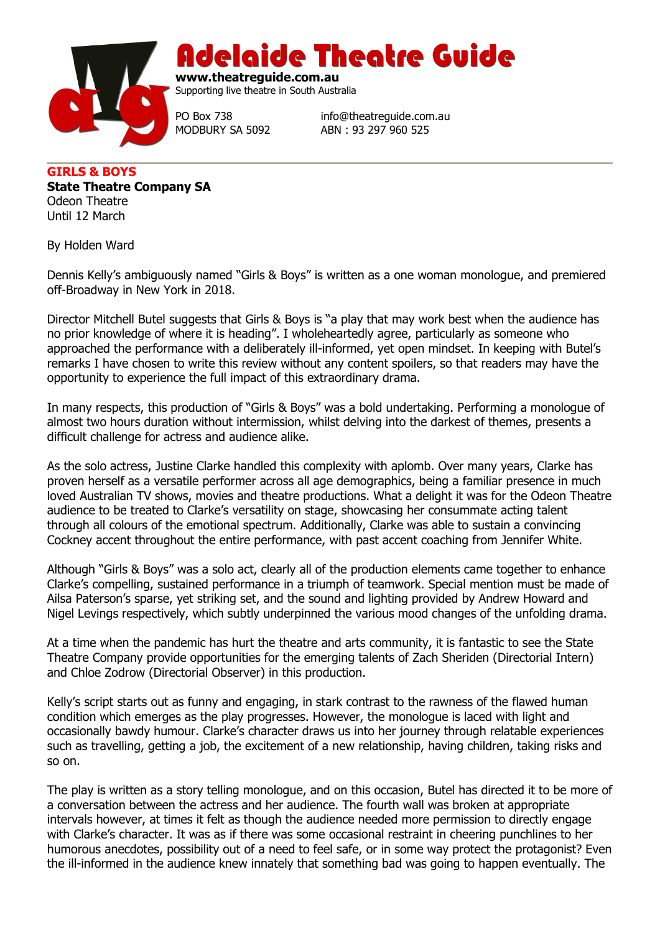

Adelaide Theatre Guide

**www.theatreguide.com.au** Supporting live theatre in South Australia

PO Box 738 info@theatreguide.com.au MODBURY SA 5092 ABN : 93 297 960 525

**GIRLS & BOYS State Theatre Company SA** Odeon Theatre Until 12 March

By Holden Ward

Dennis Kelly's ambiguously named "Girls & Boys" is written as a one woman monologue, and premiered off-Broadway in New York in 2018.

Director Mitchell Butel suggests that Girls & Boys is "a play that may work best when the audience has no prior knowledge of where it is heading". I wholeheartedly agree, particularly as someone who approached the performance with a deliberately ill-informed, yet open mindset. In keeping with Butel's remarks I have chosen to write this review without any content spoilers, so that readers may have the opportunity to experience the full impact of this extraordinary drama.

In many respects, this production of "Girls & Boys" was a bold undertaking. Performing a monologue of almost two hours duration without intermission, whilst delving into the darkest of themes, presents a difficult challenge for actress and audience alike.

As the solo actress, Justine Clarke handled this complexity with aplomb. Over many years, Clarke has proven herself as a versatile performer across all age demographics, being a familiar presence in much loved Australian TV shows, movies and theatre productions. What a delight it was for the Odeon Theatre audience to be treated to Clarke's versatility on stage, showcasing her consummate acting talent through all colours of the emotional spectrum. Additionally, Clarke was able to sustain a convincing Cockney accent throughout the entire performance, with past accent coaching from Jennifer White.

Although "Girls & Boys" was a solo act, clearly all of the production elements came together to enhance Clarke's compelling, sustained performance in a triumph of teamwork. Special mention must be made of Ailsa Paterson's sparse, yet striking set, and the sound and lighting provided by Andrew Howard and Nigel Levings respectively, which subtly underpinned the various mood changes of the unfolding drama.

At a time when the pandemic has hurt the theatre and arts community, it is fantastic to see the State Theatre Company provide opportunities for the emerging talents of Zach Sheriden (Directorial Intern) and Chloe Zodrow (Directorial Observer) in this production.

Kelly's script starts out as funny and engaging, in stark contrast to the rawness of the flawed human condition which emerges as the play progresses. However, the monologue is laced with light and occasionally bawdy humour. Clarke's character draws us into her journey through relatable experiences such as travelling, getting a job, the excitement of a new relationship, having children, taking risks and so on.

The play is written as a story telling monologue, and on this occasion, Butel has directed it to be more of a conversation between the actress and her audience. The fourth wall was broken at appropriate intervals however, at times it felt as though the audience needed more permission to directly engage with Clarke's character. It was as if there was some occasional restraint in cheering punchlines to her humorous anecdotes, possibility out of a need to feel safe, or in some way protect the protagonist? Even the ill-informed in the audience knew innately that something bad was going to happen eventually. The